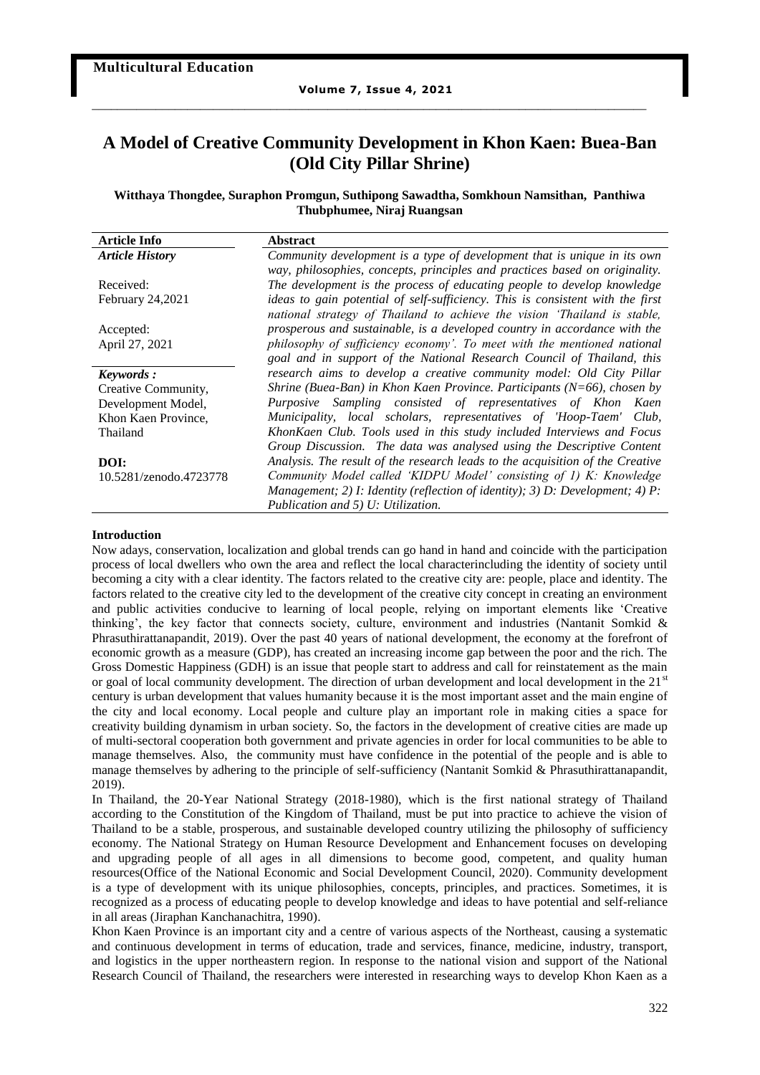# **A Model of Creative Community Development in Khon Kaen: Buea-Ban (Old City Pillar Shrine)**

# **Witthaya Thongdee, Suraphon Promgun, Suthipong Sawadtha, Somkhoun Namsithan, Panthiwa Thubphumee, Niraj Ruangsan**

| <b>Article Info</b>     | <b>Abstract</b>                                                                |
|-------------------------|--------------------------------------------------------------------------------|
| <b>Article History</b>  | Community development is a type of development that is unique in its own       |
|                         | way, philosophies, concepts, principles and practices based on originality.    |
| Received:               | The development is the process of educating people to develop knowledge        |
| <b>February 24,2021</b> | ideas to gain potential of self-sufficiency. This is consistent with the first |
|                         | national strategy of Thailand to achieve the vision 'Thailand is stable,       |
| Accepted:               | prosperous and sustainable, is a developed country in accordance with the      |
| April 27, 2021          | philosophy of sufficiency economy'. To meet with the mentioned national        |
|                         | goal and in support of the National Research Council of Thailand, this         |
| Keywords:               | research aims to develop a creative community model: Old City Pillar           |
| Creative Community,     | Shrine (Buea-Ban) in Khon Kaen Province. Participants ( $N=66$ ), chosen by    |
| Development Model,      | Purposive Sampling consisted of representatives of Khon Kaen                   |
| Khon Kaen Province,     | Municipality, local scholars, representatives of 'Hoop-Taem' Club,             |
| Thailand                | KhonKaen Club. Tools used in this study included Interviews and Focus          |
|                         | Group Discussion. The data was analysed using the Descriptive Content          |
| DOI:                    | Analysis. The result of the research leads to the acquisition of the Creative  |
| 10.5281/zenodo.4723778  | Community Model called 'KIDPU Model' consisting of 1) K: Knowledge             |
|                         | Management; 2) I: Identity (reflection of identity); 3) D: Development; 4) P:  |
|                         | Publication and 5) U: Utilization.                                             |
|                         |                                                                                |

### **Introduction**

Now adays, conservation, localization and global trends can go hand in hand and coincide with the participation process of local dwellers who own the area and reflect the local characterincluding the identity of society until becoming a city with a clear identity. The factors related to the creative city are: people, place and identity. The factors related to the creative city led to the development of the creative city concept in creating an environment and public activities conducive to learning of local people, relying on important elements like 'Creative thinking', the key factor that connects society, culture, environment and industries (Nantanit Somkid & Phrasuthirattanapandit, 2019). Over the past 40 years of national development, the economy at the forefront of economic growth as a measure (GDP), has created an increasing income gap between the poor and the rich. The Gross Domestic Happiness (GDH) is an issue that people start to address and call for reinstatement as the main or goal of local community development. The direction of urban development and local development in the 21<sup>st</sup> century is urban development that values humanity because it is the most important asset and the main engine of the city and local economy. Local people and culture play an important role in making cities a space for creativity building dynamism in urban society. So, the factors in the development of creative cities are made up of multi-sectoral cooperation both government and private agencies in order for local communities to be able to manage themselves. Also, the community must have confidence in the potential of the people and is able to manage themselves by adhering to the principle of self-sufficiency (Nantanit Somkid & Phrasuthirattanapandit, 2019).

In Thailand, the 20-Year National Strategy (2018-1980), which is the first national strategy of Thailand according to the Constitution of the Kingdom of Thailand, must be put into practice to achieve the vision of Thailand to be a stable, prosperous, and sustainable developed country utilizing the philosophy of sufficiency economy. The National Strategy on Human Resource Development and Enhancement focuses on developing and upgrading people of all ages in all dimensions to become good, competent, and quality human resources(Office of the National Economic and Social Development Council, 2020). Community development is a type of development with its unique philosophies, concepts, principles, and practices. Sometimes, it is recognized as a process of educating people to develop knowledge and ideas to have potential and self-reliance in all areas (Jiraphan Kanchanachitra, 1990).

Khon Kaen Province is an important city and a centre of various aspects of the Northeast, causing a systematic and continuous development in terms of education, trade and services, finance, medicine, industry, transport, and logistics in the upper northeastern region. In response to the national vision and support of the National Research Council of Thailand, the researchers were interested in researching ways to develop Khon Kaen as a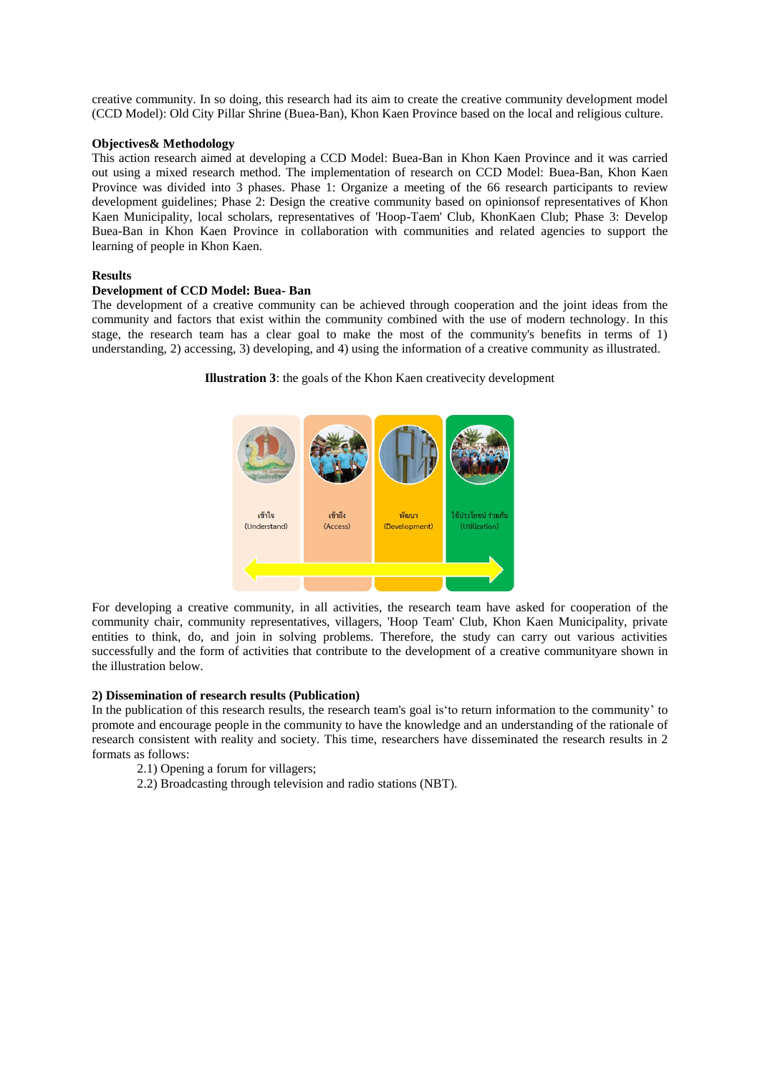creative community. In so doing, this research had its aim to create the creative community development model (CCD Model): Old City Pillar Shrine (Buea-Ban), Khon Kaen Province based on the local and religious culture.

### **Objectives& Methodology**

This action research aimed at developing a CCD Model: Buea-Ban in Khon Kaen Province and it was carried out using a mixed research method. The implementation of research on CCD Model: Buea-Ban, Khon Kaen Province was divided into 3 phases. Phase 1: Organize a meeting of the 66 research participants to review development guidelines; Phase 2: Design the creative community based on opinionsof representatives of Khon Kaen Municipality, local scholars, representatives of 'Hoop-Taem' Club, KhonKaen Club; Phase 3: Develop Buea-Ban in Khon Kaen Province in collaboration with communities and related agencies to support the learning of people in Khon Kaen.

## **Results**

# **Development of CCD Model: Buea- Ban**

The development of a creative community can be achieved through cooperation and the joint ideas from the community and factors that exist within the community combined with the use of modern technology. In this stage, the research team has a clear goal to make the most of the community's benefits in terms of 1) understanding, 2) accessing, 3) developing, and 4) using the information of a creative community as illustrated.

**Illustration 3**: the goals of the Khon Kaen creativecity development



For developing a creative community, in all activities, the research team have asked for cooperation of the community chair, community representatives, villagers, 'Hoop Team' Club, Khon Kaen Municipality, private entities to think, do, and join in solving problems. Therefore, the study can carry out various activities successfully and the form of activities that contribute to the development of a creative communityare shown in the illustration below.

### **2) Dissemination of research results (Publication)**

In the publication of this research results, the research team's goal is'to return information to the community' to promote and encourage people in the community to have the knowledge and an understanding of the rationale of research consistent with reality and society. This time, researchers have disseminated the research results in 2 formats as follows:

- 2.1) Opening a forum for villagers;
- 2.2) Broadcasting through television and radio stations (NBT).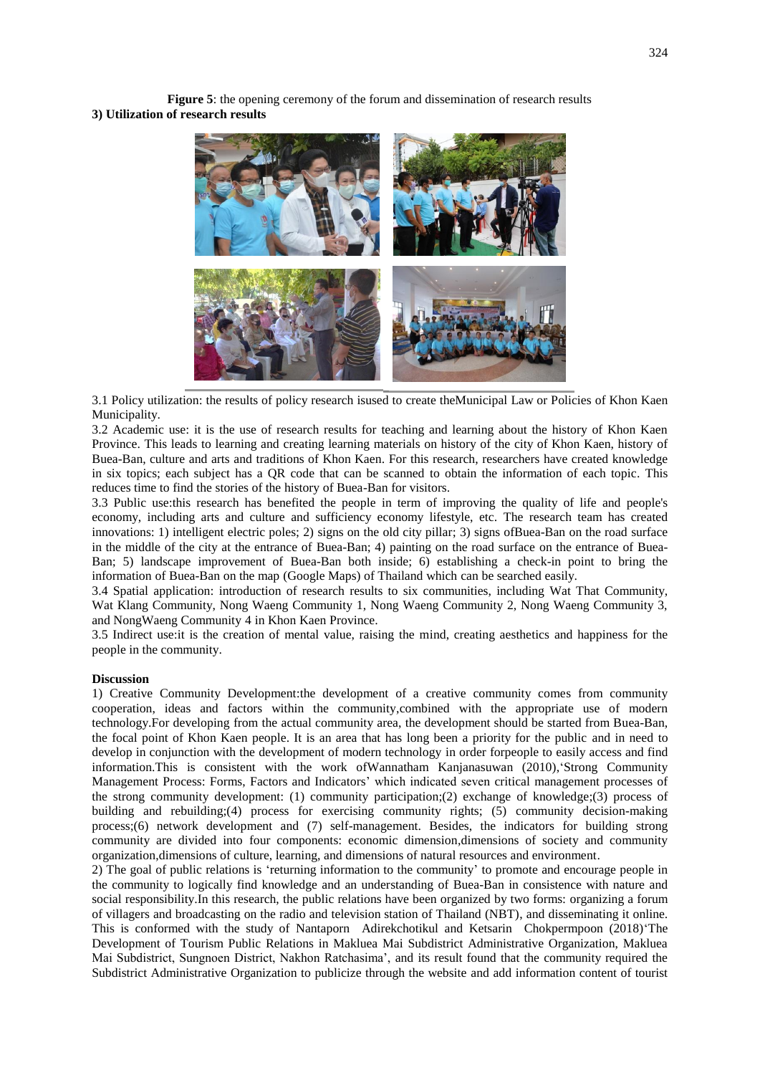**Figure 5**: the opening ceremony of the forum and dissemination of research results **3) Utilization of research results**



3.1 Policy utilization: the results of policy research isused to create theMunicipal Law or Policies of Khon Kaen Municipality.

3.2 Academic use: it is the use of research results for teaching and learning about the history of Khon Kaen Province. This leads to learning and creating learning materials on history of the city of Khon Kaen, history of Buea-Ban, culture and arts and traditions of Khon Kaen. For this research, researchers have created knowledge in six topics; each subject has a QR code that can be scanned to obtain the information of each topic. This reduces time to find the stories of the history of Buea-Ban for visitors.

3.3 Public use:this research has benefited the people in term of improving the quality of life and people's economy, including arts and culture and sufficiency economy lifestyle, etc. The research team has created innovations: 1) intelligent electric poles; 2) signs on the old city pillar; 3) signs ofBuea-Ban on the road surface in the middle of the city at the entrance of Buea-Ban; 4) painting on the road surface on the entrance of Buea-Ban; 5) landscape improvement of Buea-Ban both inside; 6) establishing a check-in point to bring the information of Buea-Ban on the map (Google Maps) of Thailand which can be searched easily.

3.4 Spatial application: introduction of research results to six communities, including Wat That Community, Wat Klang Community, Nong Waeng Community 1, Nong Waeng Community 2, Nong Waeng Community 3, and NongWaeng Community 4 in Khon Kaen Province.

3.5 Indirect use:it is the creation of mental value, raising the mind, creating aesthetics and happiness for the people in the community.

#### **Discussion**

1) Creative Community Development:the development of a creative community comes from community cooperation, ideas and factors within the community,combined with the appropriate use of modern technology.For developing from the actual community area, the development should be started from Buea-Ban, the focal point of Khon Kaen people. It is an area that has long been a priority for the public and in need to develop in conjunction with the development of modern technology in order forpeople to easily access and find information.This is consistent with the work ofWannatham Kanjanasuwan (2010),'Strong Community Management Process: Forms, Factors and Indicators' which indicated seven critical management processes of the strong community development: (1) community participation;(2) exchange of knowledge;(3) process of building and rebuilding;(4) process for exercising community rights; (5) community decision-making process;(6) network development and (7) self-management. Besides, the indicators for building strong community are divided into four components: economic dimension,dimensions of society and community organization,dimensions of culture, learning, and dimensions of natural resources and environment.

2) The goal of public relations is 'returning information to the community' to promote and encourage people in the community to logically find knowledge and an understanding of Buea-Ban in consistence with nature and social responsibility.In this research, the public relations have been organized by two forms: organizing a forum of villagers and broadcasting on the radio and television station of Thailand (NBT), and disseminating it online. This is conformed with the study of Nantaporn Adirekchotikul and Ketsarin Chokpermpoon (2018)'The Development of Tourism Public Relations in Makluea Mai Subdistrict Administrative Organization, Makluea Mai Subdistrict, Sungnoen District, Nakhon Ratchasima', and its result found that the community required the Subdistrict Administrative Organization to publicize through the website and add information content of tourist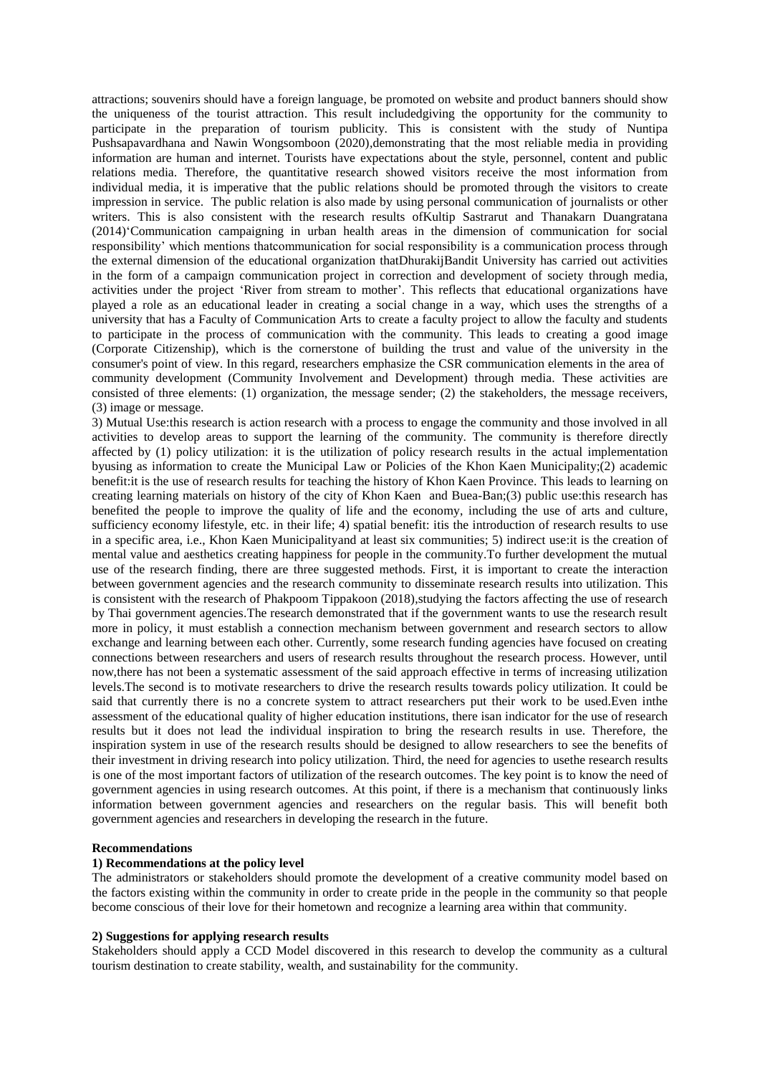attractions; souvenirs should have a foreign language, be promoted on website and product banners should show the uniqueness of the tourist attraction. This result includedgiving the opportunity for the community to participate in the preparation of tourism publicity. This is consistent with the study of Nuntipa Pushsapavardhana and Nawin Wongsomboon (2020),demonstrating that the most reliable media in providing information are human and internet. Tourists have expectations about the style, personnel, content and public relations media. Therefore, the quantitative research showed visitors receive the most information from individual media, it is imperative that the public relations should be promoted through the visitors to create impression in service. The public relation is also made by using personal communication of journalists or other writers. This is also consistent with the research results ofKultip Sastrarut and Thanakarn Duangratana (2014)'Communication campaigning in urban health areas in the dimension of communication for social responsibility' which mentions thatcommunication for social responsibility is a communication process through the external dimension of the educational organization thatDhurakijBandit University has carried out activities in the form of a campaign communication project in correction and development of society through media, activities under the project 'River from stream to mother'. This reflects that educational organizations have played a role as an educational leader in creating a social change in a way, which uses the strengths of a university that has a Faculty of Communication Arts to create a faculty project to allow the faculty and students to participate in the process of communication with the community. This leads to creating a good image (Corporate Citizenship), which is the cornerstone of building the trust and value of the university in the consumer's point of view. In this regard, researchers emphasize the CSR communication elements in the area of community development (Community Involvement and Development) through media. These activities are consisted of three elements: (1) organization, the message sender; (2) the stakeholders, the message receivers, (3) image or message.

3) Mutual Use:this research is action research with a process to engage the community and those involved in all activities to develop areas to support the learning of the community. The community is therefore directly affected by (1) policy utilization: it is the utilization of policy research results in the actual implementation byusing as information to create the Municipal Law or Policies of the Khon Kaen Municipality;(2) academic benefit:it is the use of research results for teaching the history of Khon Kaen Province. This leads to learning on creating learning materials on history of the city of Khon Kaen and Buea-Ban;(3) public use:this research has benefited the people to improve the quality of life and the economy, including the use of arts and culture, sufficiency economy lifestyle, etc. in their life; 4) spatial benefit: itis the introduction of research results to use in a specific area, i.e., Khon Kaen Municipalityand at least six communities; 5) indirect use:it is the creation of mental value and aesthetics creating happiness for people in the community.To further development the mutual use of the research finding, there are three suggested methods. First, it is important to create the interaction between government agencies and the research community to disseminate research results into utilization. This is consistent with the research of Phakpoom Tippakoon (2018), studying the factors affecting the use of research by Thai government agencies.The research demonstrated that if the government wants to use the research result more in policy, it must establish a connection mechanism between government and research sectors to allow exchange and learning between each other. Currently, some research funding agencies have focused on creating connections between researchers and users of research results throughout the research process. However, until now,there has not been a systematic assessment of the said approach effective in terms of increasing utilization levels.The second is to motivate researchers to drive the research results towards policy utilization. It could be said that currently there is no a concrete system to attract researchers put their work to be used.Even inthe assessment of the educational quality of higher education institutions, there isan indicator for the use of research results but it does not lead the individual inspiration to bring the research results in use. Therefore, the inspiration system in use of the research results should be designed to allow researchers to see the benefits of their investment in driving research into policy utilization. Third, the need for agencies to usethe research results is one of the most important factors of utilization of the research outcomes. The key point is to know the need of government agencies in using research outcomes. At this point, if there is a mechanism that continuously links information between government agencies and researchers on the regular basis. This will benefit both government agencies and researchers in developing the research in the future.

### **Recommendations**

# **1) Recommendations at the policy level**

The administrators or stakeholders should promote the development of a creative community model based on the factors existing within the community in order to create pride in the people in the community so that people become conscious of their love for their hometown and recognize a learning area within that community.

# **2) Suggestions for applying research results**

Stakeholders should apply a CCD Model discovered in this research to develop the community as a cultural tourism destination to create stability, wealth, and sustainability for the community.